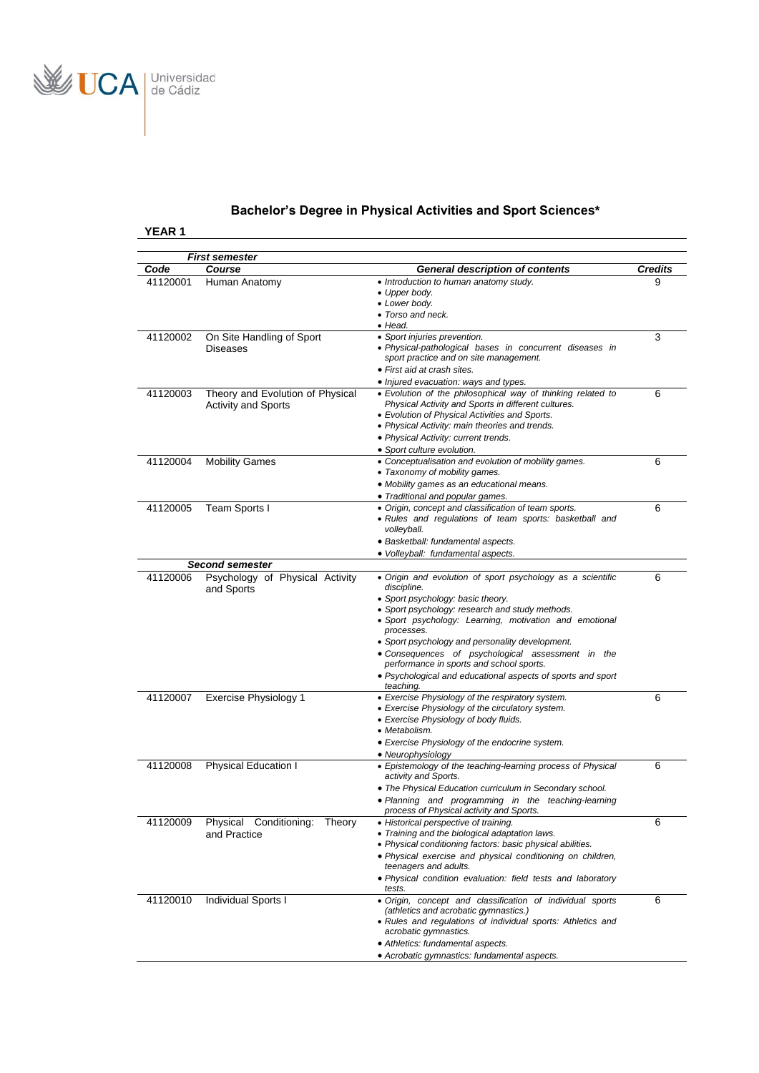

# **Bachelor's Degree in Physical Activities and Sport Sciences\***

|          | <b>First semester</b>                                          |                                                                                                                                                                                                                                                                                                                                                                                                                                                                           |                |
|----------|----------------------------------------------------------------|---------------------------------------------------------------------------------------------------------------------------------------------------------------------------------------------------------------------------------------------------------------------------------------------------------------------------------------------------------------------------------------------------------------------------------------------------------------------------|----------------|
| Code     | Course                                                         | <b>General description of contents</b>                                                                                                                                                                                                                                                                                                                                                                                                                                    | <b>Credits</b> |
| 41120001 | Human Anatomy                                                  | • Introduction to human anatomy study.<br>• Upper body.<br>• Lower body.<br>• Torso and neck.                                                                                                                                                                                                                                                                                                                                                                             | 9              |
| 41120002 | On Site Handling of Sport<br><b>Diseases</b>                   | $\bullet$ Head.<br>• Sport injuries prevention.<br>• Physical-pathological bases in concurrent diseases in<br>sport practice and on site management.<br>• First aid at crash sites.<br>• Injured evacuation: ways and types.                                                                                                                                                                                                                                              | 3              |
| 41120003 | Theory and Evolution of Physical<br><b>Activity and Sports</b> | • Evolution of the philosophical way of thinking related to<br>Physical Activity and Sports in different cultures.<br>• Evolution of Physical Activities and Sports.<br>• Physical Activity: main theories and trends.<br>• Physical Activity: current trends.<br>• Sport culture evolution.                                                                                                                                                                              | 6              |
| 41120004 | Mobility Games                                                 | • Conceptualisation and evolution of mobility games.<br>• Taxonomy of mobility games.<br>• Mobility games as an educational means.<br>• Traditional and popular games.                                                                                                                                                                                                                                                                                                    | 6              |
| 41120005 | Team Sports I                                                  | • Origin, concept and classification of team sports.<br>• Rules and requlations of team sports: basketball and<br>volleyball.<br>• Basketball: fundamental aspects.<br>· Volleyball: fundamental aspects.                                                                                                                                                                                                                                                                 | 6              |
|          | <b>Second semester</b>                                         |                                                                                                                                                                                                                                                                                                                                                                                                                                                                           |                |
| 41120006 | Psychology of Physical Activity<br>and Sports                  | • Origin and evolution of sport psychology as a scientific<br>discipline.<br>• Sport psychology: basic theory.<br>• Sport psychology: research and study methods.<br>• Sport psychology: Learning, motivation and emotional<br>processes.<br>• Sport psychology and personality development.<br>• Consequences of psychological assessment in the<br>performance in sports and school sports.<br>• Psychological and educational aspects of sports and sport<br>teaching. | 6              |
| 41120007 | Exercise Physiology 1                                          | • Exercise Physiology of the respiratory system.<br>• Exercise Physiology of the circulatory system.<br>• Exercise Physiology of body fluids.<br>• Metabolism.<br>• Exercise Physiology of the endocrine system.<br>• Neurophysiology                                                                                                                                                                                                                                     | 6              |
| 41120008 | Physical Education I                                           | • Epistemology of the teaching-learning process of Physical<br>activity and Sports.<br>• The Physical Education curriculum in Secondary school.<br>• Planning and programming in the teaching-learning<br>process of Physical activity and Sports.                                                                                                                                                                                                                        | 6              |
| 41120009 | Physical Conditioning:<br>Theory<br>and Practice               | • Historical perspective of training.<br>• Training and the biological adaptation laws.<br>• Physical conditioning factors: basic physical abilities.<br>• Physical exercise and physical conditioning on children,<br>teenagers and adults.<br>· Physical condition evaluation: field tests and laboratory<br>tests.                                                                                                                                                     | 6              |
| 41120010 | <b>Individual Sports I</b>                                     | • Origin, concept and classification of individual sports<br>(athletics and acrobatic gymnastics.)<br>• Rules and regulations of individual sports: Athletics and<br>acrobatic gymnastics.<br>• Athletics: fundamental aspects.<br>• Acrobatic gymnastics: fundamental aspects.                                                                                                                                                                                           | 6              |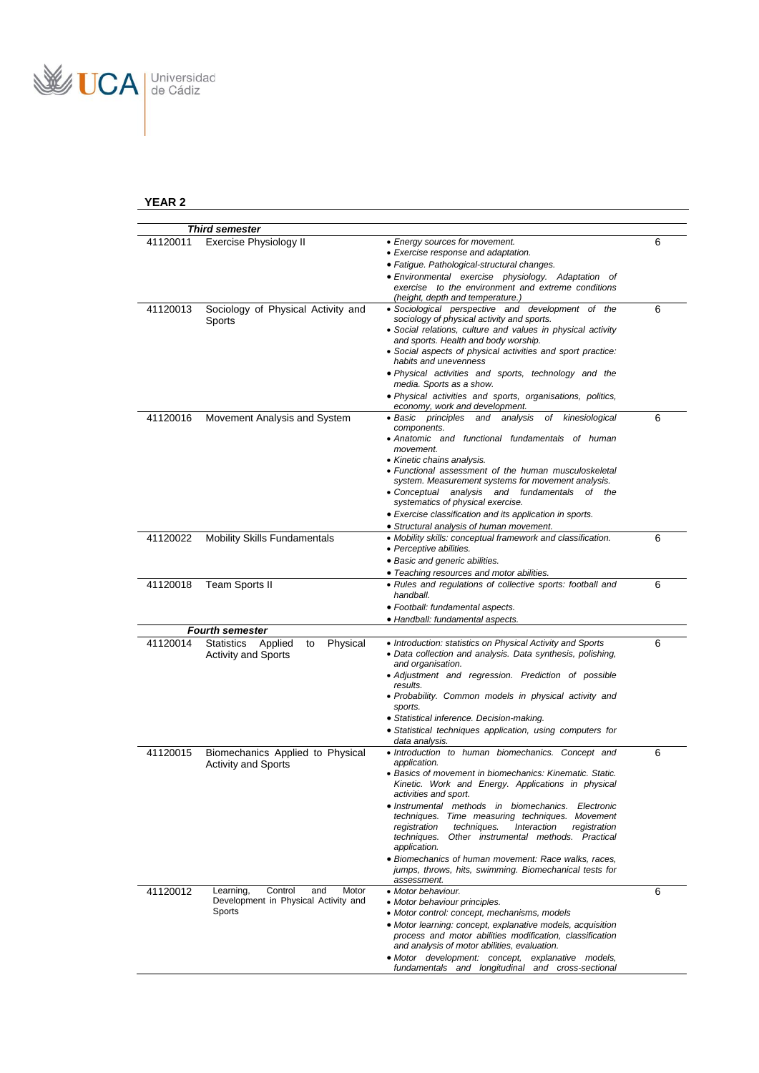

|          | <b>Third semester</b>                   |                                                                                                                |   |
|----------|-----------------------------------------|----------------------------------------------------------------------------------------------------------------|---|
| 41120011 | <b>Exercise Physiology II</b>           | • Energy sources for movement.                                                                                 | 6 |
|          |                                         | • Exercise response and adaptation.                                                                            |   |
|          |                                         | • Fatigue. Pathological-structural changes.                                                                    |   |
|          |                                         | • Environmental exercise physiology. Adaptation of                                                             |   |
|          |                                         | exercise to the environment and extreme conditions                                                             |   |
|          |                                         | (height, depth and temperature.)                                                                               |   |
| 41120013 | Sociology of Physical Activity and      | · Sociological perspective and development of the                                                              | 6 |
|          | Sports                                  | sociology of physical activity and sports.                                                                     |   |
|          |                                         | • Social relations, culture and values in physical activity<br>and sports. Health and body worship.            |   |
|          |                                         | • Social aspects of physical activities and sport practice:                                                    |   |
|          |                                         | habits and unevenness                                                                                          |   |
|          |                                         | . Physical activities and sports, technology and the                                                           |   |
|          |                                         | media. Sports as a show.                                                                                       |   |
|          |                                         | · Physical activities and sports, organisations, politics,                                                     |   |
|          |                                         | economy, work and development.                                                                                 |   |
| 41120016 | Movement Analysis and System            | • Basic principles<br>of kinesiological<br>and<br>analysis                                                     | 6 |
|          |                                         | components.                                                                                                    |   |
|          |                                         | • Anatomic and functional fundamentals of human<br>movement.                                                   |   |
|          |                                         | • Kinetic chains analysis.                                                                                     |   |
|          |                                         | • Functional assessment of the human musculoskeletal                                                           |   |
|          |                                         | system. Measurement systems for movement analysis.                                                             |   |
|          |                                         | • Conceptual analysis and fundamentals<br>of the                                                               |   |
|          |                                         | systematics of physical exercise.                                                                              |   |
|          |                                         | • Exercise classification and its application in sports.                                                       |   |
|          |                                         | • Structural analysis of human movement.                                                                       |   |
| 41120022 | <b>Mobility Skills Fundamentals</b>     | • Mobility skills: conceptual framework and classification.<br>• Perceptive abilities.                         | 6 |
|          |                                         | • Basic and generic abilities.                                                                                 |   |
|          |                                         | • Teaching resources and motor abilities.                                                                      |   |
| 41120018 | <b>Team Sports II</b>                   | • Rules and regulations of collective sports: football and                                                     | 6 |
|          |                                         | handball.                                                                                                      |   |
|          |                                         | · Football: fundamental aspects.                                                                               |   |
|          |                                         | • Handball: fundamental aspects.                                                                               |   |
|          | <b>Fourth semester</b>                  |                                                                                                                |   |
| 41120014 | Physical<br>Applied<br>Statistics<br>to | • Introduction: statistics on Physical Activity and Sports                                                     | 6 |
|          | <b>Activity and Sports</b>              | • Data collection and analysis. Data synthesis, polishing,                                                     |   |
|          |                                         | and organisation.                                                                                              |   |
|          |                                         | • Adjustment and regression. Prediction of possible<br>results.                                                |   |
|          |                                         | · Probability. Common models in physical activity and                                                          |   |
|          |                                         | sports.                                                                                                        |   |
|          |                                         | · Statistical inference. Decision-making.                                                                      |   |
|          |                                         | • Statistical techniques application, using computers for                                                      |   |
|          |                                         | data analysis.                                                                                                 |   |
| 41120015 | Biomechanics Applied to Physical        | · Introduction to human biomechanics. Concept and                                                              | 6 |
|          | <b>Activity and Sports</b>              | application.                                                                                                   |   |
|          |                                         | Basics of movement in biomechanics: Kinematic. Static.<br>Kinetic. Work and Energy. Applications in physical   |   |
|          |                                         | activities and sport.                                                                                          |   |
|          |                                         | • Instrumental methods in biomechanics. Electronic                                                             |   |
|          |                                         | techniques. Time measuring techniques. Movement                                                                |   |
|          |                                         | registration<br>techniques.<br>Interaction<br>registration                                                     |   |
|          |                                         | Other instrumental methods. Practical<br>techniques.                                                           |   |
|          |                                         | application.                                                                                                   |   |
|          |                                         | • Biomechanics of human movement: Race walks, races,<br>jumps, throws, hits, swimming. Biomechanical tests for |   |
|          |                                         | assessment.                                                                                                    |   |
| 41120012 | Control<br>Motor<br>Learning,<br>and    | • Motor behaviour.                                                                                             | 6 |
|          | Development in Physical Activity and    | • Motor behaviour principles.                                                                                  |   |
|          | Sports                                  | • Motor control: concept, mechanisms, models                                                                   |   |
|          |                                         | • Motor learning: concept, explanative models, acquisition                                                     |   |
|          |                                         | process and motor abilities modification, classification                                                       |   |
|          |                                         | and analysis of motor abilities, evaluation.                                                                   |   |
|          |                                         | • Motor development: concept,<br>explanative models,                                                           |   |
|          |                                         | fundamentals and longitudinal and cross-sectional                                                              |   |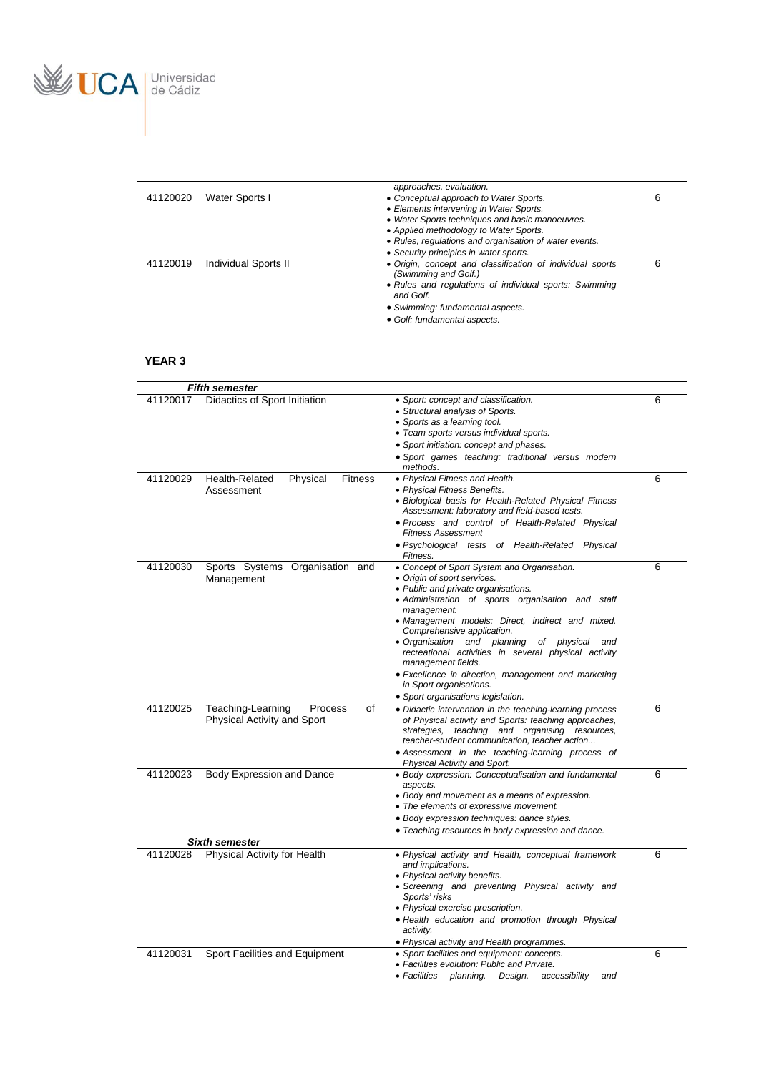

|          |                      | approaches, evaluation.                                                           |   |
|----------|----------------------|-----------------------------------------------------------------------------------|---|
| 41120020 | Water Sports I       | • Conceptual approach to Water Sports.                                            |   |
|          |                      | • Elements intervening in Water Sports.                                           |   |
|          |                      | • Water Sports techniques and basic manoeuvres.                                   |   |
|          |                      | • Applied methodology to Water Sports.                                            |   |
|          |                      | • Rules, regulations and organisation of water events.                            |   |
|          |                      | • Security principles in water sports.                                            |   |
| 41120019 | Individual Sports II | • Origin, concept and classification of individual sports<br>(Swimming and Golf.) | 6 |
|          |                      | • Rules and regulations of individual sports: Swimming<br>and Golf.               |   |
|          |                      | • Swimming: fundamental aspects.                                                  |   |
|          |                      | • Golf: fundamental aspects.                                                      |   |

|          | <b>Fifth semester</b>                                             |                                                                                                                                                                                                                                                                                                                                                                                                                                                                                                 |   |
|----------|-------------------------------------------------------------------|-------------------------------------------------------------------------------------------------------------------------------------------------------------------------------------------------------------------------------------------------------------------------------------------------------------------------------------------------------------------------------------------------------------------------------------------------------------------------------------------------|---|
| 41120017 | Didactics of Sport Initiation                                     | · Sport: concept and classification.<br>• Structural analysis of Sports.<br>• Sports as a learning tool.<br>• Team sports versus individual sports.<br>• Sport initiation: concept and phases.<br>· Sport games teaching: traditional versus modern<br>methods.                                                                                                                                                                                                                                 | 6 |
| 41120029 | Health-Related<br>Physical<br><b>Fitness</b><br>Assessment        | • Physical Fitness and Health.<br>• Physical Fitness Benefits.<br>• Biological basis for Health-Related Physical Fitness<br>Assessment: laboratory and field-based tests.<br>• Process and control of Health-Related Physical<br><b>Fitness Assessment</b><br>• Psychological tests of Health-Related<br>Physical<br>Fitness.                                                                                                                                                                   | 6 |
| 41120030 | Sports Systems Organisation and<br>Management                     | • Concept of Sport System and Organisation.<br>• Origin of sport services.<br>• Public and private organisations.<br>· Administration of sports organisation and staff<br>management.<br>• Management models: Direct, indirect and mixed.<br>Comprehensive application.<br>• Organisation<br>and planning<br>of physical<br>and<br>recreational activities in several physical activity<br>management fields.<br>• Excellence in direction, management and marketing<br>in Sport organisations. | 6 |
| 41120025 | Teaching-Learning<br>Process<br>of<br>Physical Activity and Sport | • Sport organisations legislation.<br>• Didactic intervention in the teaching-learning process<br>of Physical activity and Sports: teaching approaches,<br>strategies, teaching and organising resources,<br>teacher-student communication, teacher action<br>• Assessment in the teaching-learning process of<br>Physical Activity and Sport.                                                                                                                                                  | 6 |
| 41120023 | <b>Body Expression and Dance</b>                                  | • Body expression: Conceptualisation and fundamental<br>aspects.<br>• Body and movement as a means of expression.<br>• The elements of expressive movement.<br>• Body expression techniques: dance styles.<br>• Teaching resources in body expression and dance.                                                                                                                                                                                                                                | 6 |
|          | <b>Sixth semester</b>                                             |                                                                                                                                                                                                                                                                                                                                                                                                                                                                                                 |   |
| 41120028 | Physical Activity for Health                                      | • Physical activity and Health, conceptual framework<br>and implications.<br>• Physical activity benefits.<br>• Screening and preventing Physical activity and<br>Sports' risks<br>• Physical exercise prescription.<br>· Health education and promotion through Physical<br>activity.<br>• Physical activity and Health programmes.                                                                                                                                                            | 6 |
| 41120031 | Sport Facilities and Equipment                                    | • Sport facilities and equipment: concepts.<br>• Facilities evolution: Public and Private.<br>• Facilities<br>Design,<br>accessibility<br>planning.<br>and                                                                                                                                                                                                                                                                                                                                      | 6 |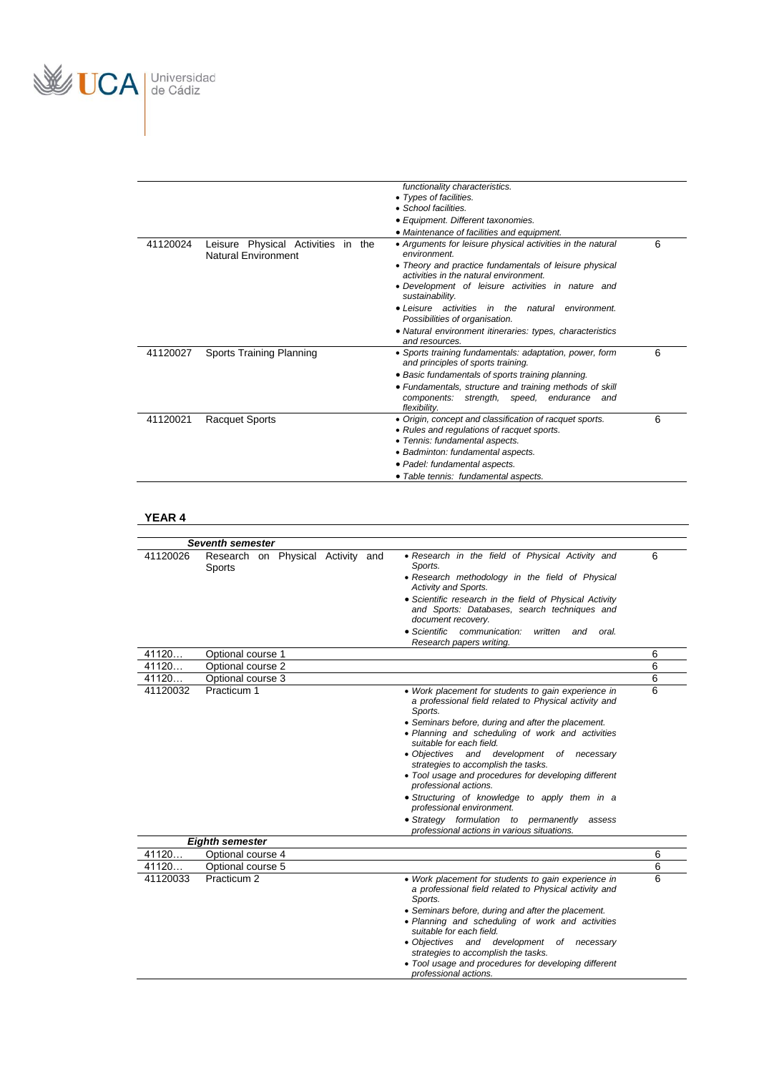

|          |                                                                  | functionality characteristics.<br>• Types of facilities.<br>• School facilities.<br>• Equipment. Different taxonomies.<br>• Maintenance of facilities and equipment.                                                                                                                                                                                                                                                           |   |
|----------|------------------------------------------------------------------|--------------------------------------------------------------------------------------------------------------------------------------------------------------------------------------------------------------------------------------------------------------------------------------------------------------------------------------------------------------------------------------------------------------------------------|---|
| 41120024 | Leisure Physical Activities in the<br><b>Natural Environment</b> | • Arguments for leisure physical activities in the natural<br>environment.<br>• Theory and practice fundamentals of leisure physical<br>activities in the natural environment.<br>• Development of leisure activities in nature and<br>sustainability.<br>• Leisure activities in the natural<br>environment.<br>Possibilities of organisation.<br>· Natural environment itineraries: types, characteristics<br>and resources. | 6 |
| 41120027 | Sports Training Planning                                         | • Sports training fundamentals: adaptation, power, form<br>and principles of sports training.<br>• Basic fundamentals of sports training planning.<br>• Fundamentals, structure and training methods of skill<br>components: strength, speed, endurance and<br>flexibility.                                                                                                                                                    | 6 |
| 41120021 | <b>Racquet Sports</b>                                            | • Origin, concept and classification of racquet sports.<br>• Rules and regulations of racquet sports.<br>• Tennis: fundamental aspects.<br>• Badminton: fundamental aspects.<br>· Padel: fundamental aspects.<br>• Table tennis: fundamental aspects.                                                                                                                                                                          | 6 |

|                | <b>Seventh semester</b>                     |                                                                                                                                                                                                                                                                                                                                                                                                                                                                                                                                                                                                                 |        |
|----------------|---------------------------------------------|-----------------------------------------------------------------------------------------------------------------------------------------------------------------------------------------------------------------------------------------------------------------------------------------------------------------------------------------------------------------------------------------------------------------------------------------------------------------------------------------------------------------------------------------------------------------------------------------------------------------|--------|
| 41120026       | Research on Physical Activity and<br>Sports | • Research in the field of Physical Activity and<br>Sports.<br>• Research methodology in the field of Physical<br>Activity and Sports.<br>• Scientific research in the field of Physical Activity<br>and Sports: Databases, search techniques and<br>document recovery.<br>• Scientific<br>communication:<br>written<br>oral.<br>and<br>Research papers writing.                                                                                                                                                                                                                                                | 6      |
| 41120          | Optional course 1                           |                                                                                                                                                                                                                                                                                                                                                                                                                                                                                                                                                                                                                 | 6      |
| 41120          | Optional course 2                           |                                                                                                                                                                                                                                                                                                                                                                                                                                                                                                                                                                                                                 | 6      |
| 41120          | Optional course 3                           |                                                                                                                                                                                                                                                                                                                                                                                                                                                                                                                                                                                                                 | 6      |
| 41120032       | Practicum 1                                 | • Work placement for students to gain experience in<br>a professional field related to Physical activity and<br>Sports.<br>• Seminars before, during and after the placement.<br>• Planning and scheduling of work and activities<br>suitable for each field.<br>· Objectives and development of necessary<br>strategies to accomplish the tasks.<br>• Tool usage and procedures for developing different<br>professional actions.<br>· Structuring of knowledge to apply them in a<br>professional environment.<br>• Strategy formulation to permanently assess<br>professional actions in various situations. | 6      |
|                | <b>Eighth semester</b>                      |                                                                                                                                                                                                                                                                                                                                                                                                                                                                                                                                                                                                                 |        |
| 41120<br>41120 | Optional course 4<br>Optional course 5      |                                                                                                                                                                                                                                                                                                                                                                                                                                                                                                                                                                                                                 | 6<br>6 |
| 41120033       | Practicum 2                                 | • Work placement for students to gain experience in<br>a professional field related to Physical activity and<br>Sports.<br>• Seminars before, during and after the placement.<br>• Planning and scheduling of work and activities<br>suitable for each field.<br>· Objectives and development of necessary<br>strategies to accomplish the tasks.<br>• Tool usage and procedures for developing different<br>professional actions.                                                                                                                                                                              | 6      |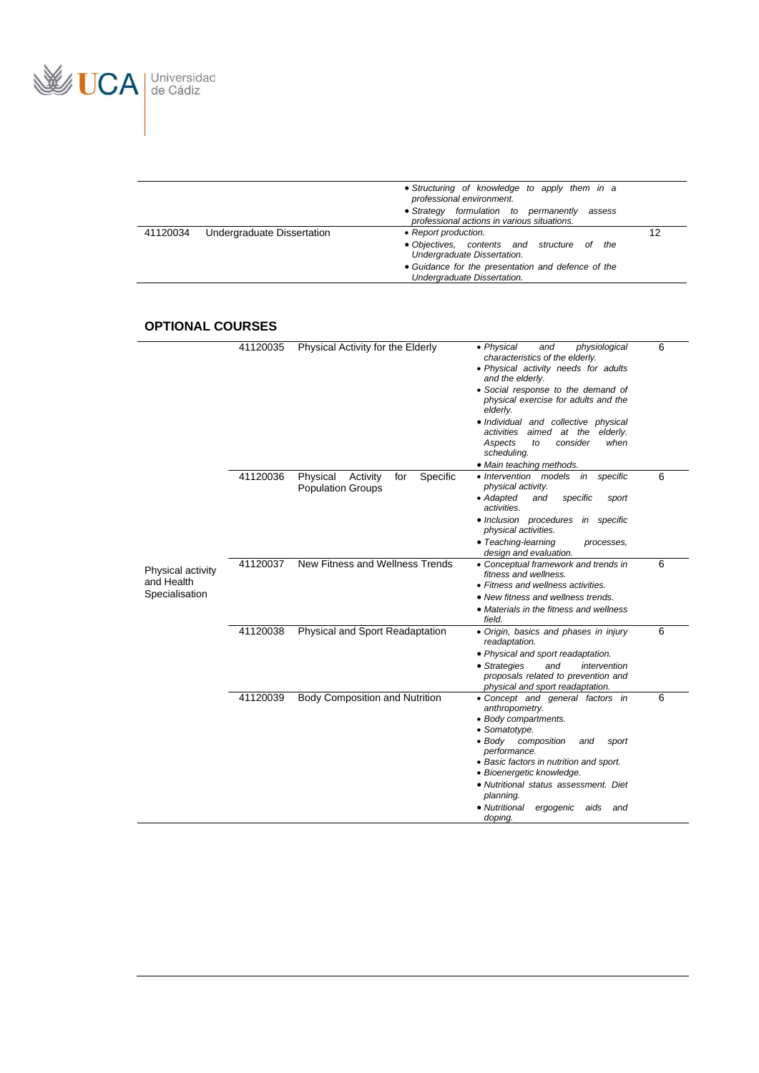

|          |                            | • Structuring of knowledge to apply them in a<br>professional environment.                     |    |
|----------|----------------------------|------------------------------------------------------------------------------------------------|----|
|          |                            | • Strategy formulation to permanently<br>assess<br>professional actions in various situations. |    |
| 41120034 | Undergraduate Dissertation | • Report production.                                                                           | 12 |
|          |                            | • Objectives, contents and structure of the<br>Undergraduate Dissertation.                     |    |
|          |                            | • Guidance for the presentation and defence of the<br>Undergraduate Dissertation.              |    |

## **OPTIONAL COURSES**

|                                 | 41120035 | Physical Activity for the Elderly                                   | • Physical<br>physiological<br>and                                                                                           | 6 |
|---------------------------------|----------|---------------------------------------------------------------------|------------------------------------------------------------------------------------------------------------------------------|---|
|                                 |          |                                                                     | characteristics of the elderly.<br>• Physical activity needs for adults                                                      |   |
|                                 |          |                                                                     | and the elderly.<br>• Social response to the demand of<br>physical exercise for adults and the<br>elderly.                   |   |
|                                 |          |                                                                     | • Individual and collective physical<br>activities aimed at the elderly.<br>consider<br>when<br>Aspects<br>to<br>scheduling. |   |
|                                 |          |                                                                     | • Main teaching methods.                                                                                                     |   |
|                                 | 41120036 | Physical<br>Activity<br>Specific<br>for<br><b>Population Groups</b> | · Intervention models<br>in specific<br>physical activity.<br>• Adapted<br>and<br>specific<br>sport                          | 6 |
|                                 |          |                                                                     | activities.<br>• Inclusion procedures<br>in specific<br>physical activities.                                                 |   |
|                                 |          |                                                                     | • Teaching-learning<br>processes,<br>design and evaluation.                                                                  |   |
| Physical activity<br>and Health | 41120037 | New Fitness and Wellness Trends                                     | • Conceptual framework and trends in<br>fitness and wellness.                                                                | 6 |
| Specialisation                  |          |                                                                     | • Fitness and wellness activities.                                                                                           |   |
|                                 |          |                                                                     | • New fitness and wellness trends.                                                                                           |   |
|                                 |          |                                                                     | • Materials in the fitness and wellness<br>field.                                                                            |   |
|                                 | 41120038 | Physical and Sport Readaptation                                     | • Origin, basics and phases in injury<br>readaptation.                                                                       | 6 |
|                                 |          |                                                                     | • Physical and sport readaptation.                                                                                           |   |
|                                 |          |                                                                     | • Strategies<br>and<br>intervention<br>proposals related to prevention and<br>physical and sport readaptation.               |   |
|                                 | 41120039 | Body Composition and Nutrition                                      | • Concept and general factors in<br>anthropometry.<br>• Body compartments.                                                   | 6 |
|                                 |          |                                                                     | • Somatotype.<br>$\bullet$ Body<br>composition<br>and<br>sport<br>performance.                                               |   |
|                                 |          |                                                                     | • Basic factors in nutrition and sport.<br>• Bioenergetic knowledge.                                                         |   |
|                                 |          |                                                                     | · Nutritional status assessment. Diet<br>planning.                                                                           |   |
|                                 |          |                                                                     | • Nutritional<br>ergogenic<br>aids<br>and<br>doping.                                                                         |   |